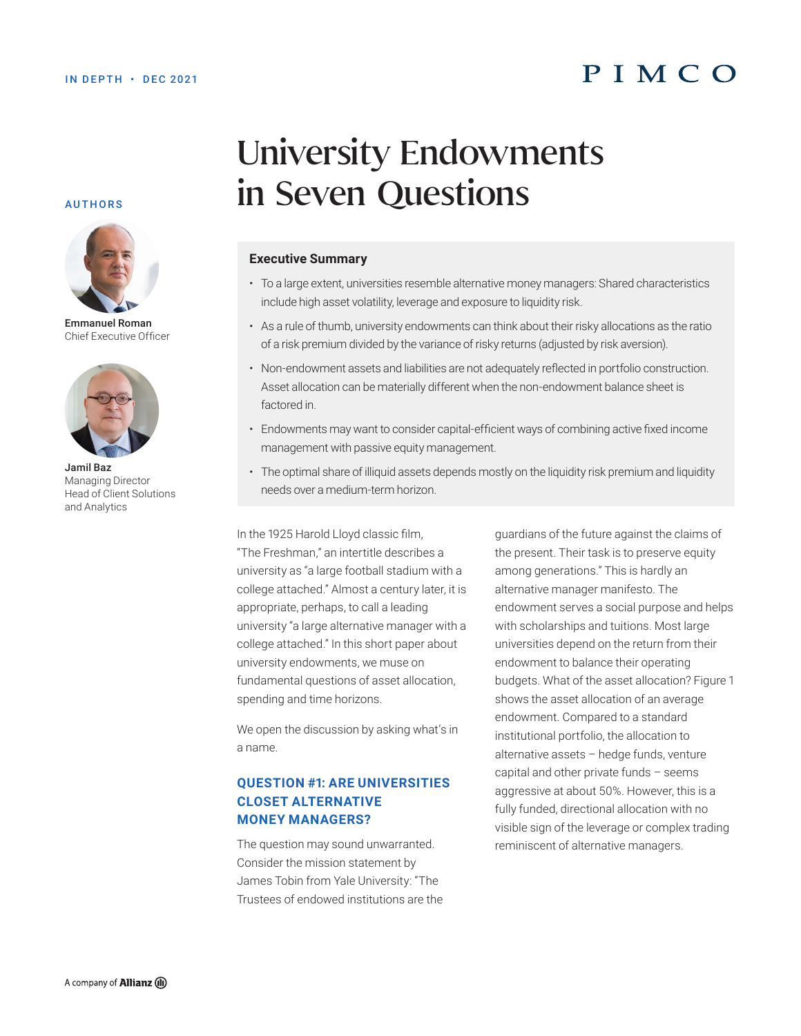# PIMCO

#### AUTHORS



Emmanuel Roman Chief Executive Officer



Jamil Baz Managing Director Head of Client Solutions and Analytics

# University Endowments in Seven Questions

#### **Executive Summary**

- To a large extent, universities resemble alternative money managers: Shared characteristics include high asset volatility, leverage and exposure to liquidity risk.
- As a rule of thumb, university endowments can think about their risky allocations as the ratio of a risk premium divided by the variance of risky returns (adjusted by risk aversion).
- Non-endowment assets and liabilities are not adequately reflected in portfolio construction. Asset allocation can be materially different when the non-endowment balance sheet is factored in.
- Endowments may want to consider capital-efficient ways of combining active fixed income management with passive equity management.
- The optimal share of illiquid assets depends mostly on the liquidity risk premium and liquidity needs over a medium-term horizon.

In the 1925 Harold Lloyd classic film, "The Freshman," an intertitle describes a university as "a large football stadium with a college attached." Almost a century later, it is appropriate, perhaps, to call a leading university "a large alternative manager with a college attached." In this short paper about university endowments, we muse on fundamental questions of asset allocation, spending and time horizons.

We open the discussion by asking what's in a name.

#### **QUESTION #1: ARE UNIVERSITIES CLOSET ALTERNATIVE MONEY MANAGERS?**

The question may sound unwarranted. Consider the mission statement by James Tobin from Yale University: "The Trustees of endowed institutions are the guardians of the future against the claims of the present. Their task is to preserve equity among generations." This is hardly an alternative manager manifesto. The endowment serves a social purpose and helps with scholarships and tuitions. Most large universities depend on the return from their endowment to balance their operating budgets. What of the asset allocation? Figure 1 shows the asset allocation of an average endowment. Compared to a standard institutional portfolio, the allocation to alternative assets – hedge funds, venture capital and other private funds – seems aggressive at about 50%. However, this is a fully funded, directional allocation with no visible sign of the leverage or complex trading reminiscent of alternative managers.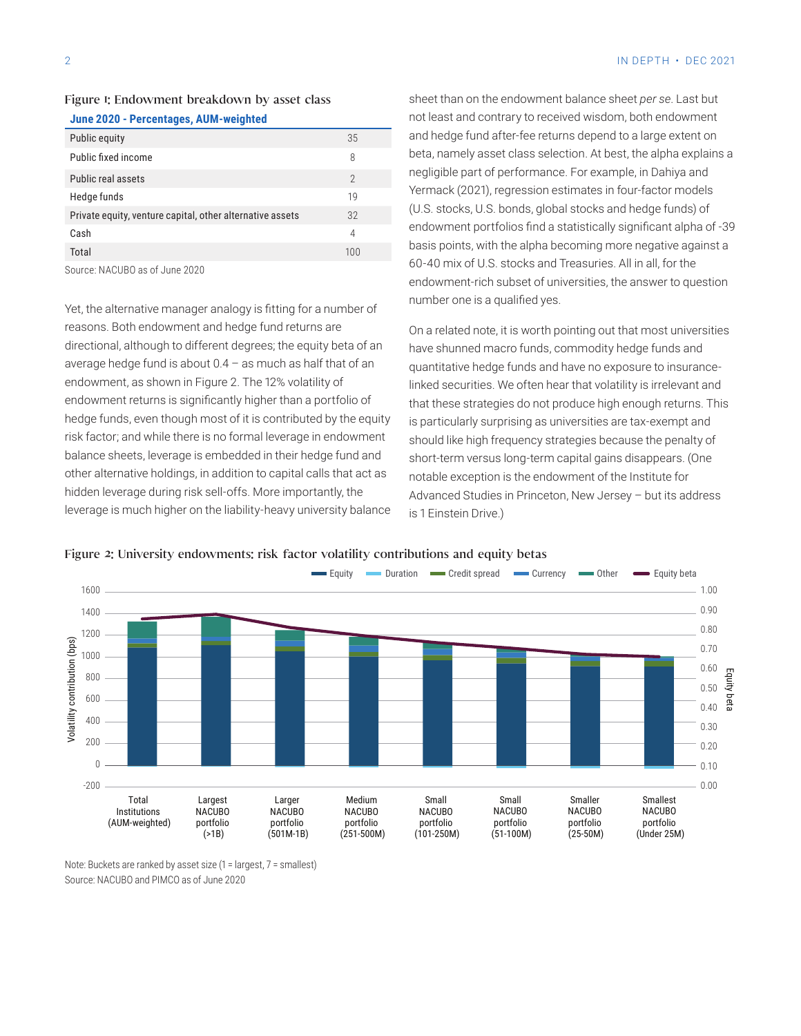#### Figure 1: Endowment breakdown by asset class

|  | June 2020 - Percentages, AUM-weighted |
|--|---------------------------------------|
|  |                                       |

| Public equity                                             | 35             |
|-----------------------------------------------------------|----------------|
| Public fixed income                                       | 8              |
| <b>Public real assets</b>                                 | $\overline{2}$ |
| Hedge funds                                               | 19             |
| Private equity, venture capital, other alternative assets | 32             |
| Cash                                                      | 4              |
| Total                                                     | 100            |
| .                                                         |                |

Source: NACUBO as of June 2020

Yet, the alternative manager analogy is fitting for a number of reasons. Both endowment and hedge fund returns are directional, although to different degrees; the equity beta of an average hedge fund is about  $0.4 -$  as much as half that of an endowment, as shown in Figure 2. The 12% volatility of endowment returns is significantly higher than a portfolio of hedge funds, even though most of it is contributed by the equity risk factor; and while there is no formal leverage in endowment balance sheets, leverage is embedded in their hedge fund and other alternative holdings, in addition to capital calls that act as hidden leverage during risk sell-offs. More importantly, the leverage is much higher on the liability-heavy university balance sheet than on the endowment balance sheet *per se*. Last but not least and contrary to received wisdom, both endowment and hedge fund after-fee returns depend to a large extent on beta, namely asset class selection. At best, the alpha explains a negligible part of performance. For example, in Dahiya and Yermack (2021), regression estimates in four-factor models (U.S. stocks, U.S. bonds, global stocks and hedge funds) of endowment portfolios find a statistically significant alpha of -39 basis points, with the alpha becoming more negative against a 60-40 mix of U.S. stocks and Treasuries. All in all, for the endowment-rich subset of universities, the answer to question number one is a qualified yes.

On a related note, it is worth pointing out that most universities have shunned macro funds, commodity hedge funds and quantitative hedge funds and have no exposure to insurancelinked securities. We often hear that volatility is irrelevant and that these strategies do not produce high enough returns. This is particularly surprising as universities are tax-exempt and should like high frequency strategies because the penalty of short-term versus long-term capital gains disappears. (One notable exception is the endowment of the Institute for Advanced Studies in Princeton, New Jersey – but its address is 1 Einstein Drive.)



#### Figure 2: University endowments: risk factor volatility contributions and equity betas

Note: Buckets are ranked by asset size (1 = largest, 7 = smallest) Source: NACUBO and PIMCO as of June 2020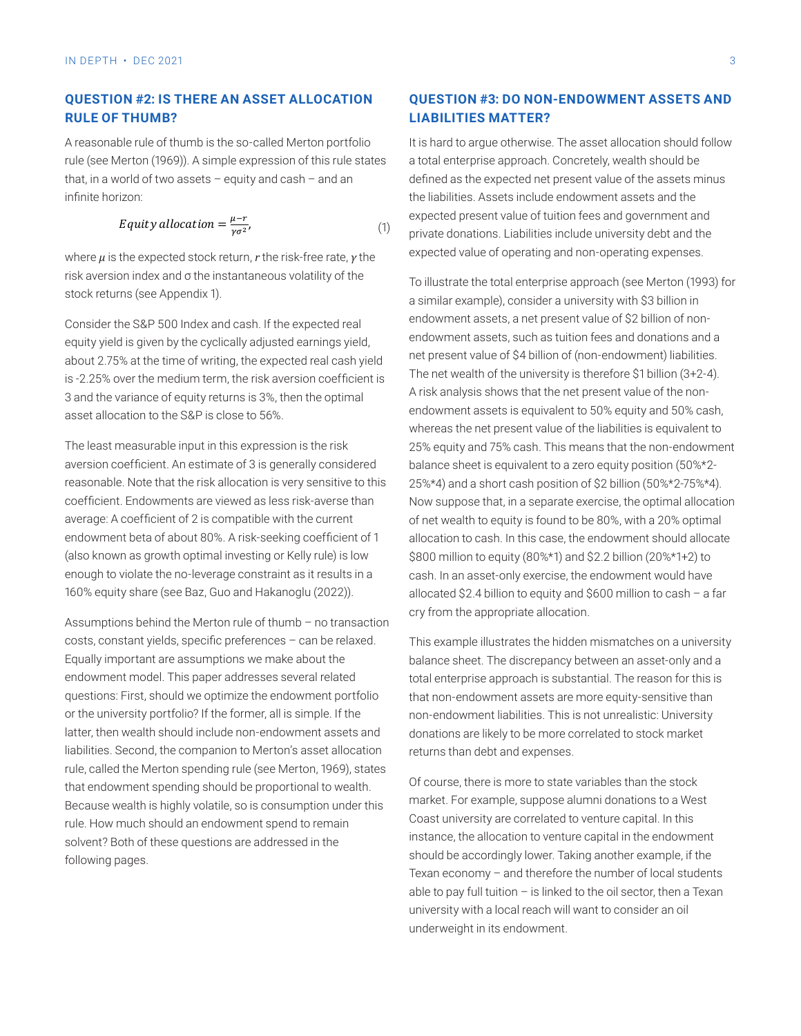#### **QUESTION #2: IS THERE AN ASSET ALLOCATION QUESTION RULE OF THUMB?** Endowment of the Institute for Advanced Studies in Princeton, New Yersey – but its address in P

A reasonable rule of thumb is the so-called Merton portfolio rule (see Merton (1969)). A simple expression of this rule states that, in a world of two assets – equity and cash – and an  $\qquad \qquad$  defined as infinite horizon: infinite horizon: the liabilities. Assets include endowment assets and the liabilities and and an infinite horizon:

$$
Equity allocation = \frac{\mu - r}{\gamma \sigma^2}, \tag{1}
$$

where *μ* is the expected stock return, *r* the risk-free rate, *γ* the <sup>expecte</sup> risk aversion index and σ the instantaneous volatility of the stock returns (see Appendix 1). Index a similar example is given by the constant of the cyclic stock returns a

> about 2.75% at the time of writing, the expected real cash yield Consider the S&P 500 Index and cash. If the expected real equity yield is given by the cyclically adjusted earnings yield, is -2.25% over the medium term, the risk aversion coefficient is 3 and the variance of equity returns is 3%, then the optimal asset allocation to the S&P is close to 56%.

> The least measurable input in this expression is the risk aversion coefficient. An estimate of 3 is generally considered reasonable. Note that the risk allocation is very sensitive to this coefficient. Endowments are viewed as less risk-averse than average: A coefficient of 2 is compatible with the current endowment beta of about 80%. A risk-seeking coefficient of 1 (also known as growth optimal investing or Kelly rule) is low enough to violate the no-leverage constraint as it results in a 160% equity share (see Baz, Guo and Hakanoglu (2022)).

> Assumptions behind the Merton rule of thumb – no transaction costs, constant yields, specific preferences – can be relaxed. Equally important are assumptions we make about the endowment model. This paper addresses several related questions: First, should we optimize the endowment portfolio or the university portfolio? If the former, all is simple. If the latter, then wealth should include non-endowment assets and liabilities. Second, the companion to Merton's asset allocation rule, called the Merton spending rule (see Merton, 1969), states that endowment spending should be proportional to wealth. Because wealth is highly volatile, so is consumption under this rule. How much should an endowment spend to remain solvent? Both of these questions are addressed in the following pages.

#### **QUESTION #3: DO NON-ENDOWMENT ASSETS AND LIABILITIES MATTER?**

It is hard to argue otherwise. The asset allocation should follow a total enterprise approach. Concretely, wealth should be defined as the expected net present value of the assets minus expected present value of tuition fees and government and private donations. Liabilities include university debt and the expected value of operating and non-operating expenses.

 $\epsilon$  about 2.75% at the time of writing, the expected real cash  $\epsilon$ . To illustrate the total enterprise approach (see Merton (1993) for a similar example), consider a university with \$3 billion in endowment assets, a net present value of \$2 billion of nonendowment assets, such as tuition fees and donations and a net present value of \$4 billion of (non-endowment) liabilities. The net wealth of the university is therefore \$1 billion (3+2-4). A risk analysis shows that the net present value of the nonendowment assets is equivalent to 50% equity and 50% cash, whereas the net present value of the liabilities is equivalent to 25% equity and 75% cash. This means that the non-endowment balance sheet is equivalent to a zero equity position (50%\*2- 25%\*4) and a short cash position of \$2 billion (50%\*2-75%\*4). Now suppose that, in a separate exercise, the optimal allocation of net wealth to equity is found to be 80%, with a 20% optimal allocation to cash. In this case, the endowment should allocate \$800 million to equity (80%\*1) and \$2.2 billion (20%\*1+2) to cash. In an asset-only exercise, the endowment would have allocated \$2.4 billion to equity and \$600 million to cash – a far cry from the appropriate allocation.

> This example illustrates the hidden mismatches on a university balance sheet. The discrepancy between an asset-only and a total enterprise approach is substantial. The reason for this is that non-endowment assets are more equity-sensitive than non-endowment liabilities. This is not unrealistic: University donations are likely to be more correlated to stock market returns than debt and expenses.

Of course, there is more to state variables than the stock market. For example, suppose alumni donations to a West Coast university are correlated to venture capital. In this instance, the allocation to venture capital in the endowment should be accordingly lower. Taking another example, if the Texan economy – and therefore the number of local students able to pay full tuition  $-$  is linked to the oil sector, then a Texan university with a local reach will want to consider an oil underweight in its endowment.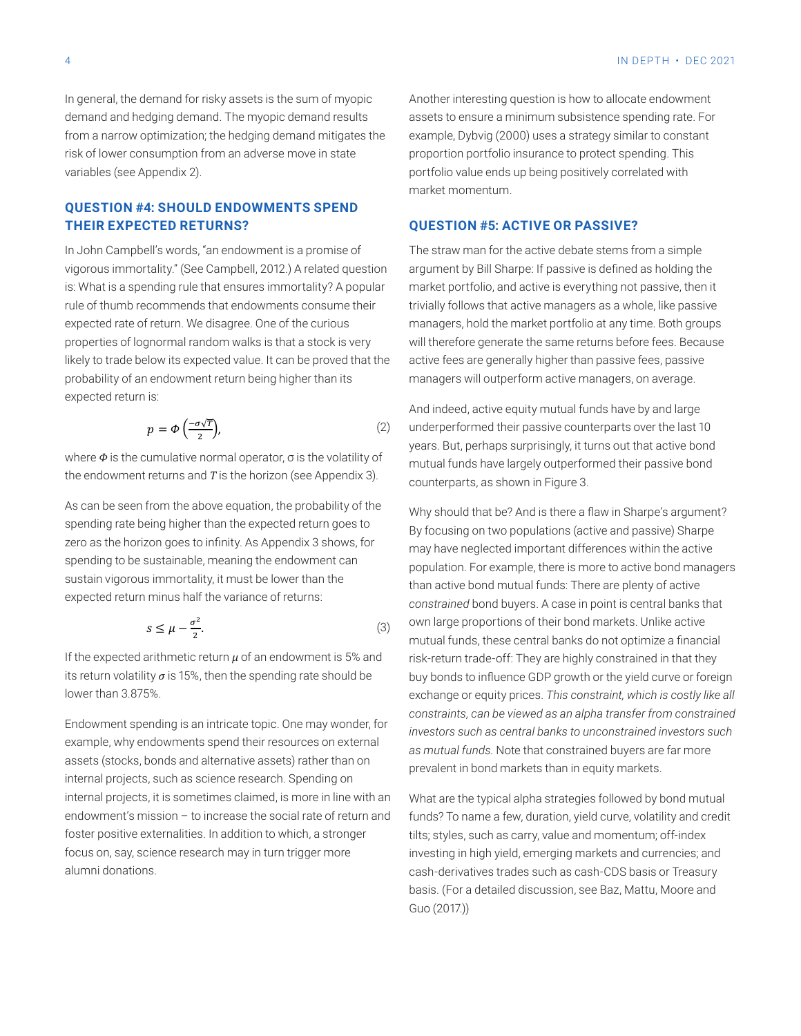In general, the demand for risky assets is the sum of myopic demand and hedging demand. The myopic demand results from a narrow optimization; the hedging demand mitigates the risk of lower consumption from an adverse move in state endoptor the proportion po variables (see Appendix 2). economy extendio v and the number of local students about the number of local students able to the oil tuition v and the oil tuition v and tuition v and tuition v and tuition v and tuition v and

#### **QUESTION #4: SHOULD ENDOWMENTS SPEND THEIR EXPECTED RETURNS?** In general, the demand for risky assets is the sum of myopic demand and hedging demand. The myopic economy – and therefore the number of local students able to pay full tuition – is linked to the oil

In John Campbell's words, "an endowment is a promise of The stra moonn campsono morde, an endorment is a premise of<br>vigorous immortality." (See Campbell, 2012.) A related question is: What is a spending rule that ensures immortality? A popular market portfolion rule of thumb recommends that endowments consume their trivia expected rate of return. We disagree. One of the curious in the properties of lognormal random walks is that a stock is very will therefore get properties of lognomial random waller is that a stock is very what is a related proved that the active probability of an endowment return being higher than its imanagers will expected return is:<br>
In John Campbell's words, "an endowment is a probability." (See Campbell, 2012). The probability of vigorous **IRETY to trade below its expected value. It can be proved that the light rees are g**  $\mathcal{L}$  related to the spending rule that is a spending rule that ensures in  $\mathcal{L}$  popular of thumbbe  $\mathcal{L}$ 

$$
p = \Phi\left(\frac{-\sigma\sqrt{T}}{2}\right),\tag{2} \qquad \text{underperform}
$$

where  $\Phi$  is the cumulative normal operator,  $\sigma$  is the volatility of mutual funds have the endowment returns and  $T$  is the horizon (see Appendix 3). <sup>2</sup> ), (2)

As can be seen from the above equation, the probability of the spending rate being higher than the As can be seen from the above equation, the probability of the why should that be retained to be a probability of the why should that be  $\mu$ Why should that the spending rate being higher than the expected return goes to by focusing on two By focusing on two that is zero as the horizon goes to infinity. As Appendix 3 shows, for sperioning to be sustainable, meaning the endowment can<br>sustain vigorous immortality, it must be lower than the the spendix abord expected return minus half the variance of returns: expected return minus half the variance of returns: may nave negled<br>
As can be sustainable, meaning the endowment can speriui sustain vigorous immortality, it must be lower than the endowment can active bond

$$
s \le \mu - \frac{\sigma^2}{2}.\tag{3}
$$

If the expected arithmetic return  $\mu$  of an endowment is 5% and risk-return tradeits return volatility  $\sigma$  is 15%, then the spending rate should be low bonds to influ  $\frac{1}{2}$ endow $\frac{1}{2}$  rate of  $\frac{1}{2}$  rate of return and fosternalities. In addition positive external in additional rate of return and fosternalities. In additional rate of  $\frac{1}{2}$ to which, a stronger focus on, say, science research may in turn trigger more alumni donations. lower than 3.875%.

Endowment spending is an intricate topic. One may wonder, for investors such as example, why endowments spend their resources on external  $\frac{1}{2}$ assets (stocks, bonds and alternative assets) rather than on endowment's mission – to increase the social rate of return and funds? To name a internal projects, such as science research. Spending on internal projects, it is sometimes claimed, is more in line with an lawhat are the typi **Question #5: Active or passive?** alumni donations. foster positive externalities. In addition to which, a stronger focus on, say, science research may in turn trigger more

 $\mathsf{m}$ sector, then a local reach with a local reach will want to consider an oil underweight in its in its in its in its in its in its in its in its in its in its in its in its in its in its in its in its in its in its Another interesting question is how to allocate endowment assets to ensure a minimum subsistence spending rate. For example, Dybvig (2000) uses a strategy similar to constant proportion portfolio insurance to protect spending. This portfolio value ends up being positively correlated with market momentum.

#### **QUESTION #5: ACTIVE OR PASSIVE?**

The straw man for the active debate stems from a simple argument by Bill Sharpe: If passive is defined as holding the market portfolio, and active is everything not passive, then it trivially follows that active managers as a whole, like passive managers, hold the market portfolio at any time. Both groups will therefore generate the same returns before fees. Because active fees are generally higher than passive fees, passive managers will outperform active managers, on average.

 $p = \phi\left(\frac{-\sigma\sqrt{T}}{n}\right)$  (2) underperformed their passive counterparts over the last 10 And indeed, active equity mutual funds have by and large years. But, perhaps surprisingly, it turns out that active bond mutual funds have largely outperformed their passive bond counterparts, as shown in Figure 3.

 $\frac{3}{2}$  and  $\frac{1}{2}$  intricate to  $\frac{1}{2}$  mutual funds, these central banks do not optimize a financial lower than 3.875%. This constraint, which is costly like all and the may be exchange or equity prices. This constraint, which is costly like all and the interval of the interval of the interval of the interval of the inter resources on external assets (stocks, bonds and alternative assets) rather than on internal projects, such *constraints, can be viewed as an alpha transfer from constrained*  Why should that be? And is there a flaw in Sharpe's argument? By focusing on two populations (active and passive) Sharpe may have neglected important differences within the active population. For example, there is more to active bond managers than active bond mutual funds: There are plenty of active *constrained* bond buyers. A case in point is central banks that own large proportions of their bond markets. Unlike active risk-return trade-off: They are highly constrained in that they buy bonds to influence GDP growth or the yield curve or foreign *investors such as central banks to unconstrained investors such as mutual funds*. Note that constrained buyers are far more prevalent in bond markets than in equity markets.

> What are the typical alpha strategies followed by bond mutual funds? To name a few, duration, yield curve, volatility and credit tilts; styles, such as carry, value and momentum; off-index investing in high yield, emerging markets and currencies; and cash-derivatives trades such as cash-CDS basis or Treasury basis. (For a detailed discussion, see Baz, Mattu, Moore and Guo (2017.))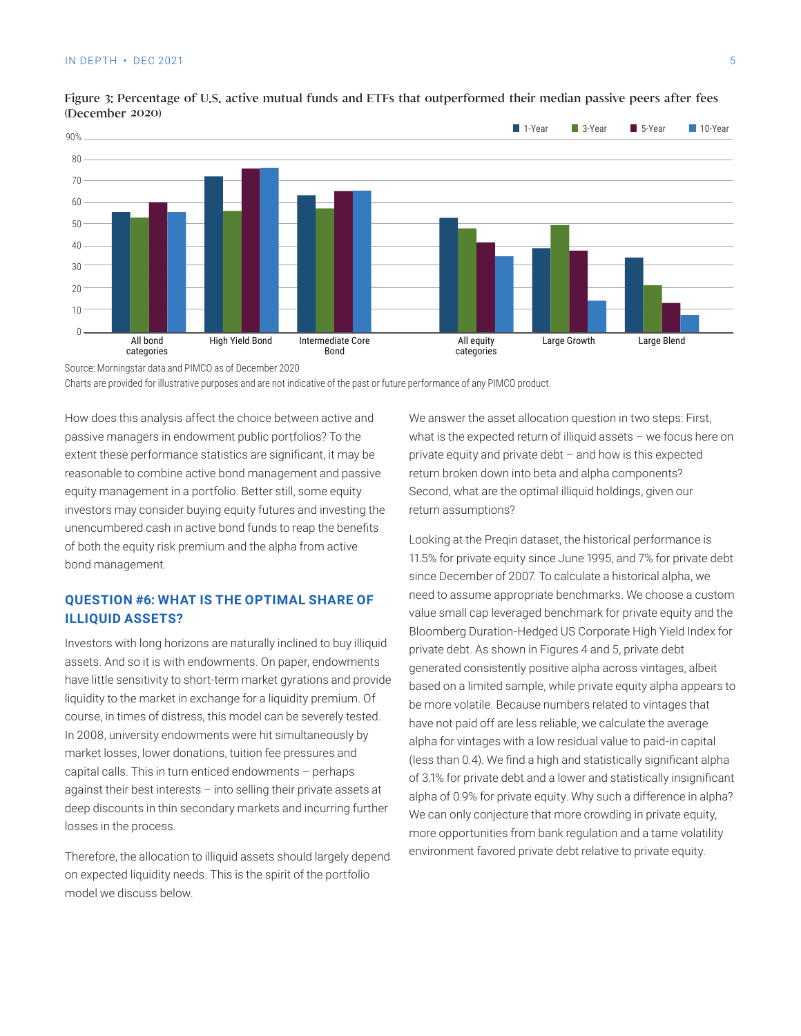

#### Figure 3: Percentage of U.S. active mutual funds and ETFs that outperformed their median passive peers after fees (December 2020)

Source: Morningstar data and PIMCO as of December 2020

Charts are provided for illustrative purposes and are not indicative of the past or future performance of any PIMCO product.

How does this analysis affect the choice between active and passive managers in endowment public portfolios? To the extent these performance statistics are significant, it may be reasonable to combine active bond management and passive equity management in a portfolio. Better still, some equity investors may consider buying equity futures and investing the unencumbered cash in active bond funds to reap the benefits of both the equity risk premium and the alpha from active bond management.

#### **QUESTION #6: WHAT IS THE OPTIMAL SHARE OF ILLIQUID ASSETS?**

Investors with long horizons are naturally inclined to buy illiquid assets. And so it is with endowments. On paper, endowments have little sensitivity to short-term market gyrations and provide liquidity to the market in exchange for a liquidity premium. Of course, in times of distress, this model can be severely tested. In 2008, university endowments were hit simultaneously by market losses, lower donations, tuition fee pressures and capital calls. This in turn enticed endowments – perhaps against their best interests – into selling their private assets at deep discounts in thin secondary markets and incurring further losses in the process.

Therefore, the allocation to illiquid assets should largely depend on expected liquidity needs. This is the spirit of the portfolio model we discuss below.

We answer the asset allocation question in two steps: First, what is the expected return of illiquid assets – we focus here on private equity and private debt – and how is this expected return broken down into beta and alpha components? Second, what are the optimal illiquid holdings, given our return assumptions?

Looking at the Preqin dataset, the historical performance is 11.5% for private equity since June 1995, and 7% for private debt since December of 2007. To calculate a historical alpha, we need to assume appropriate benchmarks. We choose a custom value small cap leveraged benchmark for private equity and the Bloomberg Duration-Hedged US Corporate High Yield Index for private debt. As shown in Figures 4 and 5, private debt generated consistently positive alpha across vintages, albeit based on a limited sample, while private equity alpha appears to be more volatile. Because numbers related to vintages that have not paid off are less reliable, we calculate the average alpha for vintages with a low residual value to paid-in capital (less than 0.4). We find a high and statistically significant alpha of 3.1% for private debt and a lower and statistically insignificant alpha of 0.9% for private equity. Why such a difference in alpha? We can only conjecture that more crowding in private equity, more opportunities from bank regulation and a tame volatility environment favored private debt relative to private equity.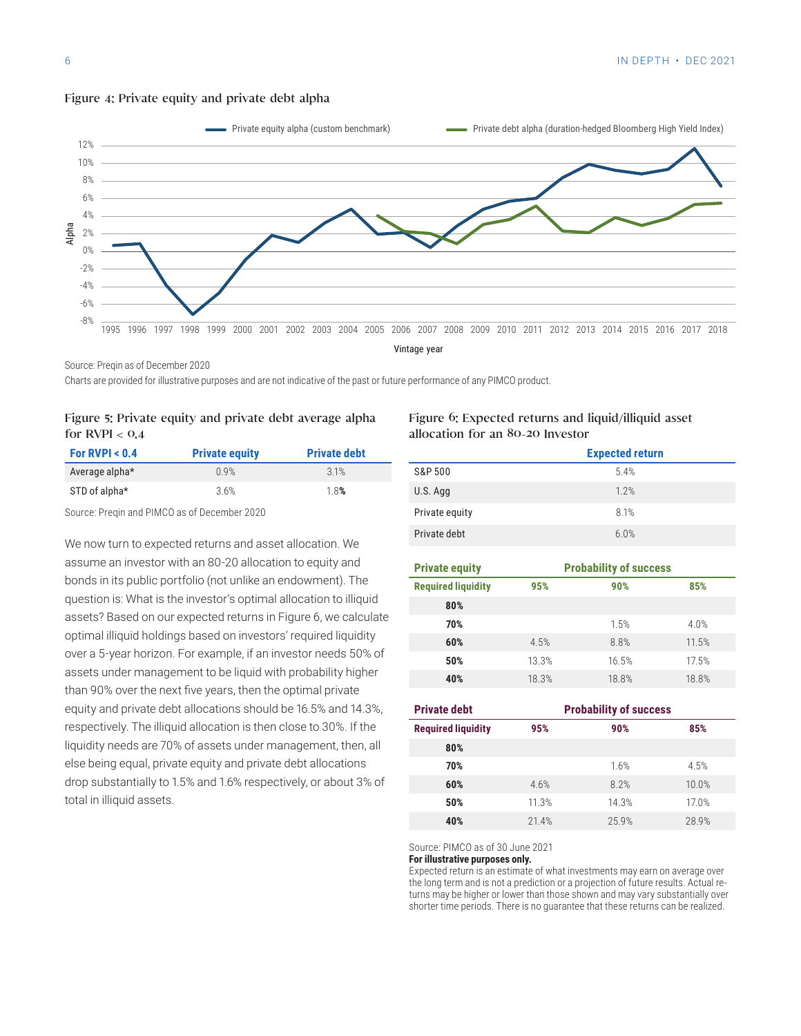

#### Figure 4: Private equity and private debt alpha

Source: Preqin as of December 2020

Charts are provided for illustrative purposes and are not indicative of the past or future performance of any PIMCO product.

#### Figure 5: Private equity and private debt average alpha for  $RVPI < 0.4$

| For RVPI $< 0.4$ | <b>Private equity</b> | <b>Private debt</b> |
|------------------|-----------------------|---------------------|
| Average alpha*   | 0.9%                  | 31%                 |
| STD of alpha*    | 3.6%                  | 1.8%                |

Source: Preqin and PIMCO as of December 2020

We now turn to expected returns and asset allocation. We assume an investor with an 80-20 allocation to equity and bonds in its public portfolio (not unlike an endowment). The question is: What is the investor's optimal allocation to illiquid assets? Based on our expected returns in Figure 6, we calculate optimal illiquid holdings based on investors' required liquidity over a 5-year horizon. For example, if an investor needs 50% of assets under management to be liquid with probability higher than 90% over the next five years, then the optimal private equity and private debt allocations should be 16.5% and 14.3%, respectively. The illiquid allocation is then close to 30%. If the liquidity needs are 70% of assets under management, then, all else being equal, private equity and private debt allocations drop substantially to 1.5% and 1.6% respectively, or about 3% of total in illiquid assets.

#### Figure 6: Expected returns and liquid/illiquid asset allocation for an 80-20 Investor

|                | <b>Expected return</b> |
|----------------|------------------------|
| S&P 500        | 5.4%                   |
| U.S. Agg       | 1.2%                   |
| Private equity | 8.1%                   |
| Private debt   | 6.0%                   |

|       | <b>Probability of success</b> |       |  |
|-------|-------------------------------|-------|--|
| 95%   | 90%                           | 85%   |  |
|       |                               |       |  |
|       | 1.5%                          | 4.0%  |  |
| 4.5%  | 8.8%                          | 11.5% |  |
| 13.3% | 16.5%                         | 17.5% |  |
| 18.3% | 18.8%                         | 18.8% |  |
|       |                               |       |  |

| <b>Private debt</b>       | <b>Probability of success</b> |       |       |
|---------------------------|-------------------------------|-------|-------|
| <b>Required liquidity</b> | 95%                           | 90%   | 85%   |
| 80%                       |                               |       |       |
| 70%                       |                               | 1.6%  | 4.5%  |
| 60%                       | 4.6%                          | 8.2%  | 10.0% |
| 50%                       | 11.3%                         | 14.3% | 17.0% |
| 40%                       | 21.4%                         | 259%  | 28.9% |

Source: PIMCO as of 30 June 2021

**For illustrative purposes only.**

Expected return is an estimate of what investments may earn on average over the long term and is not a prediction or a projection of future results. Actual returns may be higher or lower than those shown and may vary substantially over shorter time periods. There is no guarantee that these returns can be realized.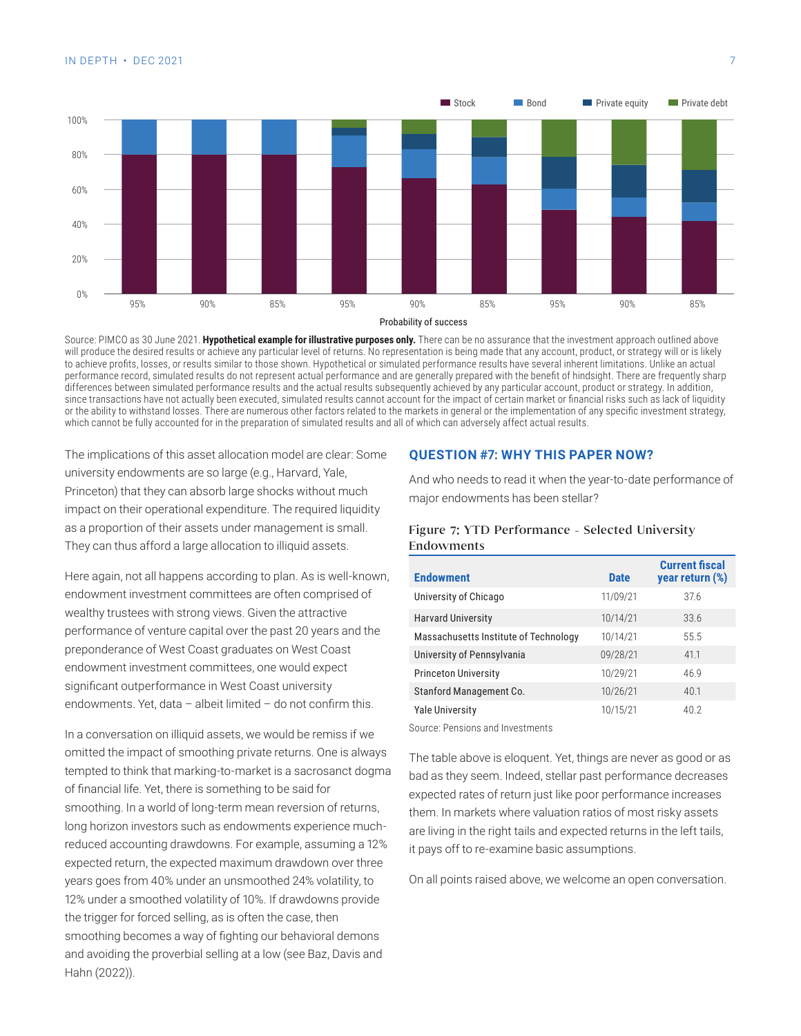

Source: PIMCO as 30 June 2021. **Hypothetical example for illustrative purposes only.** There can be no assurance that the investment approach outlined above will produce the desired results or achieve any particular level of returns. No representation is being made that any account, product, or strategy will or is likely to achieve profits, losses, or results similar to those shown. Hypothetical or simulated performance results have several inherent limitations. Unlike an actual performance record, simulated results do not represent actual performance and are generally prepared with the benefit of hindsight. There are frequently sharp differences between simulated performance results and the actual results subsequently achieved by any particular account, product or strategy. In addition, since transactions have not actually been executed, simulated results cannot account for the impact of certain market or financial risks such as lack of liquidity or the ability to withstand losses. There are numerous other factors related to the markets in general or the implementation of any specific investment strategy, which cannot be fully accounted for in the preparation of simulated results and all of which can adversely affect actual results.

The implications of this asset allocation model are clear: Some university endowments are so large (e.g., Harvard, Yale, Princeton) that they can absorb large shocks without much impact on their operational expenditure. The required liquidity as a proportion of their assets under management is small. They can thus afford a large allocation to illiquid assets.

Here again, not all happens according to plan. As is well-known, endowment investment committees are often comprised of wealthy trustees with strong views. Given the attractive performance of venture capital over the past 20 years and the preponderance of West Coast graduates on West Coast endowment investment committees, one would expect significant outperformance in West Coast university endowments. Yet, data – albeit limited – do not confirm this.

In a conversation on illiquid assets, we would be remiss if we omitted the impact of smoothing private returns. One is always tempted to think that marking-to-market is a sacrosanct dogma of financial life. Yet, there is something to be said for smoothing. In a world of long-term mean reversion of returns, long horizon investors such as endowments experience muchreduced accounting drawdowns. For example, assuming a 12% expected return, the expected maximum drawdown over three years goes from 40% under an unsmoothed 24% volatility, to 12% under a smoothed volatility of 10%. If drawdowns provide the trigger for forced selling, as is often the case, then smoothing becomes a way of fighting our behavioral demons and avoiding the proverbial selling at a low (see Baz, Davis and Hahn (2022)).

#### **QUESTION #7: WHY THIS PAPER NOW?**

And who needs to read it when the year-to-date performance of major endowments has been stellar?

#### Figure 7: YTD Performance - Selected University Endowments

| <b>Endowment</b>                      | <b>Date</b> | <b>Current fiscal</b><br>year return (%) |
|---------------------------------------|-------------|------------------------------------------|
| University of Chicago                 | 11/09/21    | 37.6                                     |
| <b>Harvard University</b>             | 10/14/21    | 33.6                                     |
| Massachusetts Institute of Technology | 10/14/21    | 55.5                                     |
| University of Pennsylvania            | 09/28/21    | 41.1                                     |
| <b>Princeton University</b>           | 10/29/21    | 46.9                                     |
| Stanford Management Co.               | 10/26/21    | 40.1                                     |
| <b>Yale University</b>                | 10/15/21    | 40.2                                     |
| Source: Pensions and Investments      |             |                                          |

The table above is eloquent. Yet, things are never as good or as bad as they seem. Indeed, stellar past performance decreases expected rates of return just like poor performance increases them. In markets where valuation ratios of most risky assets are living in the right tails and expected returns in the left tails, it pays off to re-examine basic assumptions.

On all points raised above, we welcome an open conversation.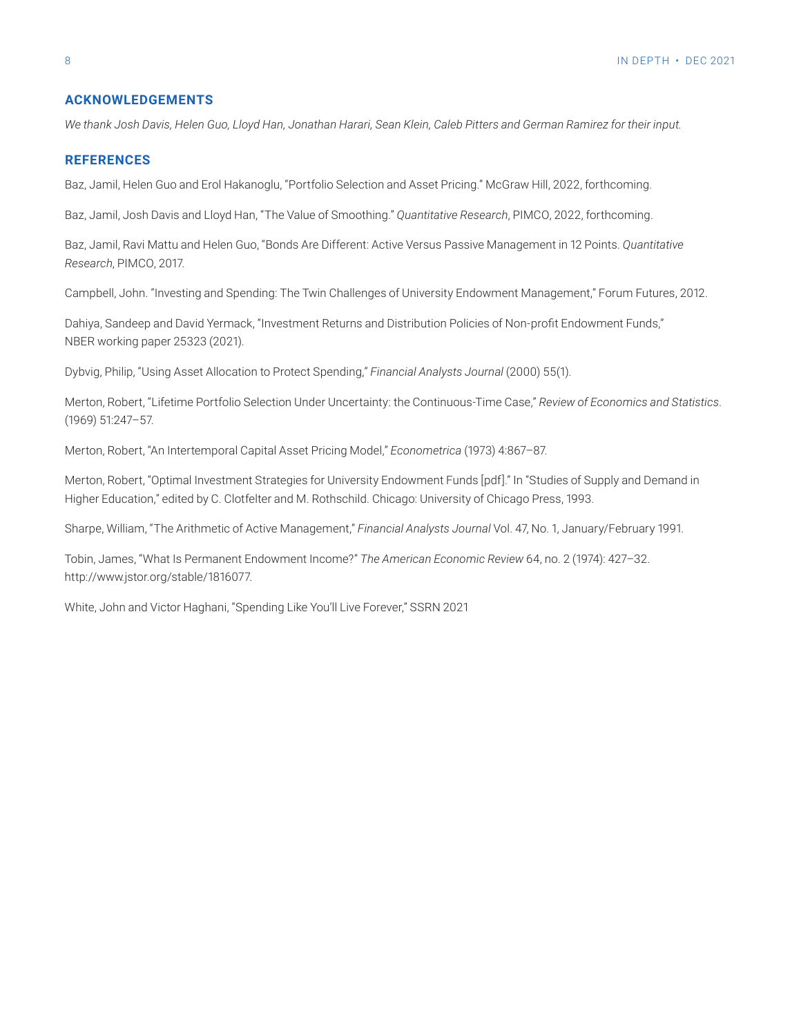#### **ACKNOWLEDGEMENTS**

*We thank Josh Davis, Helen Guo, Lloyd Han, Jonathan Harari, Sean Klein, Caleb Pitters and German Ramirez for their input.* 

#### **REFERENCES**

Baz, Jamil, Helen Guo and Erol Hakanoglu, "Portfolio Selection and Asset Pricing." McGraw Hill, 2022, forthcoming.

Baz, Jamil, Josh Davis and Lloyd Han, "The Value of Smoothing." *Quantitative Research*, PIMCO, 2022, forthcoming.

Baz, Jamil, Ravi Mattu and Helen Guo, "Bonds Are Different: Active Versus Passive Management in 12 Points. *Quantitative Research*, PIMCO, 2017.

Campbell, John. "Investing and Spending: The Twin Challenges of University Endowment Management," Forum Futures, 2012.

Dahiya, Sandeep and David Yermack, "Investment Returns and Distribution Policies of Non-profit Endowment Funds," NBER working paper 25323 (2021).

Dybvig, Philip, "Using Asset Allocation to Protect Spending," *Financial Analysts Journal* (2000) 55(1).

Merton, Robert, "Lifetime Portfolio Selection Under Uncertainty: the Continuous-Time Case," *Review of Economics and Statistics*. (1969) 51:247–57.

Merton, Robert, "An Intertemporal Capital Asset Pricing Model," *Econometrica* (1973) 4:867–87.

Merton, Robert, "Optimal Investment Strategies for University Endowment Funds [pdf]." In "Studies of Supply and Demand in Higher Education," edited by C. Clotfelter and M. Rothschild. Chicago: University of Chicago Press, 1993.

Sharpe, William, "The Arithmetic of Active Management," *Financial Analysts Journal* Vol. 47, No. 1, January/February 1991.

Tobin, James, "What Is Permanent Endowment Income?" *The American Economic Review* 64, no. 2 (1974): 427–32. http://www.jstor.org/stable/1816077.

White, John and Victor Haghani, "Spending Like You'll Live Forever," SSRN 2021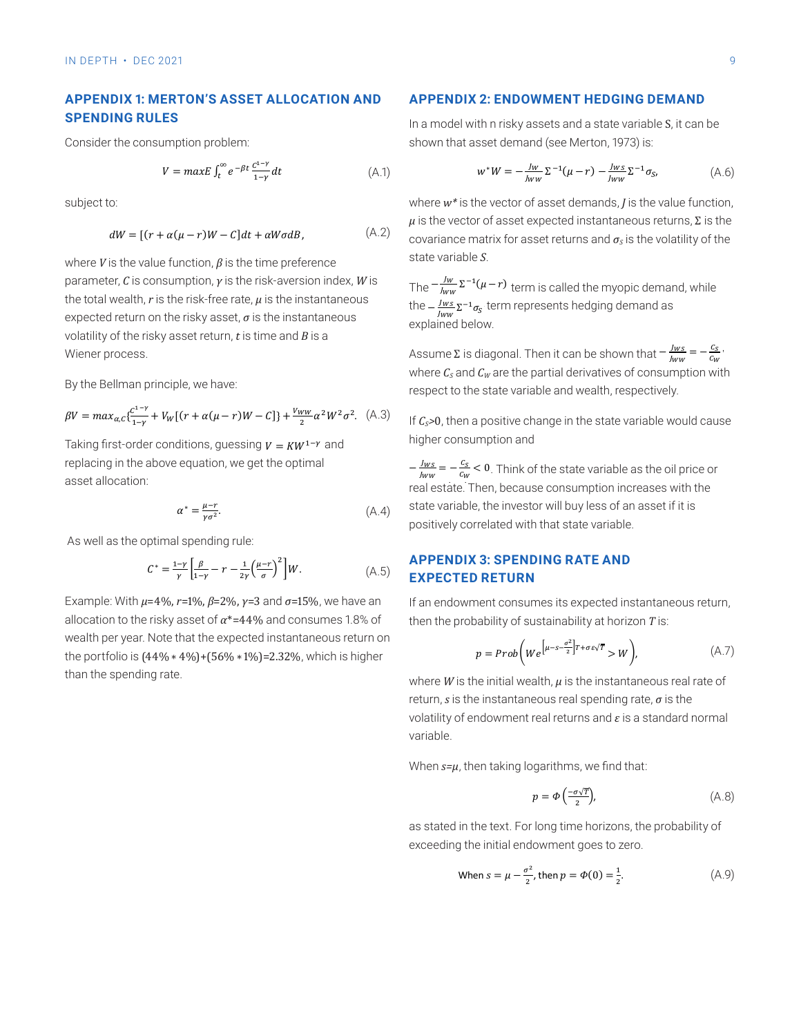#### **APPENDIX 1: MERTON'S ASSET ALLOCATION AND SPENDING RULES Appendix 1: Merton's asset allocation and spending rules**

Consider the consumption problem:

$$
V = maxE \int_{t}^{\infty} e^{-\beta t} \frac{c^{1-\gamma}}{1-\gamma} dt
$$
 (A.1)

subject to:

$$
dW = [(r + \alpha(\mu - r)W - C]dt + \alpha W \sigma dB, \qquad (A.2)
$$

the internation of the − *lws*<br>expected return on the risky asset, *σ* is the instantaneous by the − lws where  $U$  is the value function  $R$  is the time preference state varial  $t_{\text{min}}$  as a risky asset randomly  $\mu$  is the ring preference 11 volatility of the risky asset return, *t* is time and *B* is a where *V* is the value function,  $\beta$  is the time preference sto  $\frac{1}{2}$  is the total wealth,  $\frac{1}{2}$  is the risk-free rate,  $\frac{1}{2}$  is the risk-free rate,  $\frac{1}{2}$ parameter, *C* is consumption, *γ* is the risk-aversion index, *W* is <sub>The</sub> the total wealth, *r* is the risk-free rate, *μ* is the instantaneous Wiener process. hendels hendels as explained below.  $\mathcal{L}$ 

By the Bellman principle, we have: By the Bellman principle, we have: By the Bellman principle, we have:

$$
\beta V = \max_{\alpha, c} \{ \frac{c^{1-\gamma}}{1-\gamma} + V_W [(r + \alpha(\mu - r)W - C] \} + \frac{V_{WW}}{2} \alpha^2 W^2 \sigma^2. \tag{A.3}
$$

Taking first-order conditions, guessing  $V = KW^{1-\gamma}$  and higher consumption and raking first-order conditions, guessing  $v = \kappa w^{1-\gamma}$  and it is conditions. asset allocation:  $\frac{1}{1-\frac{1}{Nw}}$  = 1−  $\frac{1}{1-\frac{1}{Nw}}$  = 1− and replacing in the above equation, we get the above equation, we get the above equation, we get the above experiment of  $\frac{1}{Nw}$  = 1−  $\frac{1}{Nw}$  = 1−1  $\frac{$ optimal asset allocation:<br>Taking first-order conditions, guessing in the above equations, we get the above equation, we get the above equation, we get the above equation, we get the above extra the above equation, we get  $\frac{2}{3}$ <br> $\frac{2}{3}$ 

$$
\alpha^* = \frac{\mu - r}{\gamma \sigma^2}.\tag{A.4}
$$

As well as the optimal spending rule:

$$
C^* = \frac{1-\gamma}{\gamma} \left[ \frac{\beta}{1-\gamma} - r - \frac{1}{2\gamma} \left( \frac{\mu - r}{\sigma} \right)^2 \right] W.
$$
 APPENDIX 3: SPENDING RATE AND  
EXPECTED RETURN

Example: With  $u=40k$   $x=10k$   $0-20k$   $x=2$  and  $x=150k$  we have an If an andeument as Example: With  $\mu$ =4%, r=1%,  $\beta$ =2%, y=3 and  $\sigma$ =15%, we have an If an endowr allocation to the risky asset of  $\alpha^{*}{=}44\%$  and consumes 1.8% of  $\qquad$  the  $\frac{1}{400}$  =  $\frac{1}{90}$  =  $\frac{1}{90}$  =  $\frac{1}{90}$  per year. Note that the expected in standard instantaneous return on  $\frac{1}{400}$ allocation to the risky asset of *α*\*=44% and consumes 1.8% of  $\qquad$  the wealth per year. Note that the expected instantaneous return on the portfolio is  $(44\% * 4\%) + (56\% * 1\%) = 2.32\%$ , which is higher than the spending rate.

### **APPENDIX 2: ENDOWMENT HEDGING DEMAND Appendix 2: Endowment hedging demand**

In a model with n risky assets and a state variable S, it can be shown that asset demand (see Merton, 1973) is: In a model with n risky assets and a state variable S, it can be shown that asset demand (see Merton, Σ−1( − ) term is called the myopic demand, while the −

(A.1) 
$$
w^*W = -\frac{Jw}{Jww} \Sigma^{-1}(\mu - r) - \frac{Jws}{Jww} \Sigma^{-1} \sigma_{S} \qquad (A.6)
$$

where  $w^*$  is the vector of asset demands,  $J$  is the value function,  $\mu$  is the vector of asset expected instantaneous returns, Σ is the covariance matrix for asset returns and  $\sigma_{\scriptscriptstyle S}$  is the volatility of the state variable *S*.

> The  $-\frac{I_W}{J_{WW}}\Sigma^{-1}(\mu-r)$  term is called the myopic demand, while the  $-\frac{Jw_s}{Jw_w} \Sigma^{-1} \sigma_s$  term represents hedging demand as explained below.

 $d_{\text{w}}$  of the state variable  $c_{\text{c}}$  $\frac{1}{2}$  is diagonal. Then it can be chosen that  $\frac{1}{2}$  with  $\frac{1}{2}$  curve the partial derivatives of consumption with principle, we have:<br>respect to the state variable and wealth, respectively. Assume Σ is diagonal. Then it can be shown that  $-\frac{Jws}{Jww} = -\frac{Cs}{c_w}$ .  $\mathcal{P}_{\mathcal{A}}$  and  $\mathcal{A}_{\mathcal{A}}$  are the partial definition  $-\frac{1}{2}$ 

 $\left[(\mu-r)W-c\right]\}+\frac{V_{WW}}{2}\alpha^2W^2\sigma^2$ . (A.3) If  $C_s>0$ , then a positive change in the state variable would cause  $\alpha$  is positively an asset if it is positively if it is positively if it is positively if it is positively if  $\alpha$  is positively an asset if it is positively an asset if it is positively an asset if it is positively an a higher consumption and **If in the state variable would cause in the state variable would cause higher consumption** 

> $-\frac{f_{ws}}{f_{ww}}=-\frac{\mathcal{L}_{\mathcal{S}}}{\mathcal{L}_{\mathcal{W}}}<0$ . Think of the state variable as the oil price or real estate. Then, because consumption increases with the state variable, the investor will buy less of an asset if it is positively correlated with that state variable.

ave an find an endowment consumes its expected instantaneous return,<br>... then the probability of sustainability at horizon *T* is:

$$
p = Prob\bigg(We^{\left[\mu - s - \frac{\sigma^2}{2}\right]T + \sigma \varepsilon \sqrt{T}} > W\bigg),\tag{A.7}
$$

where *W* is the initial wealth,  $\mu$  is the instantaneous real rate of return, *s* is the instantaneous real spending rate, *σ* is the volatility of endowment real returns and *ε* is a standard normal variable.

If an endowment consumer its expected instantaneous return, the probability of sustainability of sustainability at  $\mathbf{r}$ when  $s-\mu$ , **When** *s=μ*, then taking logarithms, we find that:

$$
p = \Phi\left(\frac{-\sigma\sqrt{T}}{2}\right),\tag{A.8}
$$

**Appendix 2: Endowment hedging demand** as stated in the text. For long time horizons, the probability of exceeding the initial endowment goes to zero. where  $\mathbf{v}$  is the instantaneous real rate of  $\mathbf{v}$ exceeding the initial endowment goes to zero. y ule

When 
$$
s = \mu - \frac{\sigma^2}{2}
$$
, then  $p = \Phi(0) = \frac{1}{2}$ . (A.9)